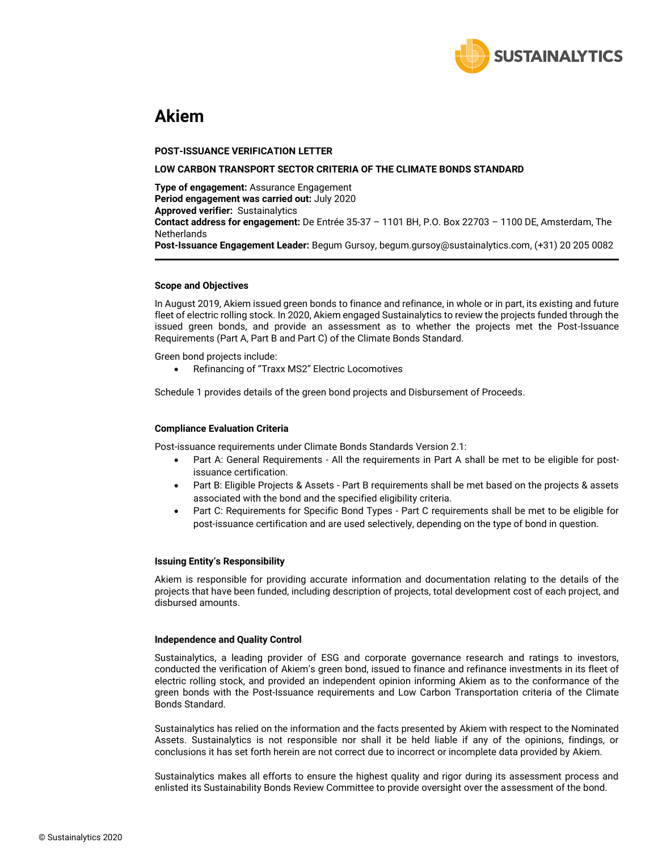

# **Akiem**

#### **POST-ISSUANCE VERIFICATION LETTER**

#### **LOW CARBON TRANSPORT SECTOR CRITERIA OF THE CLIMATE BONDS STANDARD**

**Type of engagement:** Assurance Engagement **Period engagement was carried out:** July 2020 **Approved verifier:** Sustainalytics **Contact address for engagement:** De Entrée 35-37 – 1101 BH, P.O. Box 22703 – 1100 DE, Amsterdam, The **Netherlands Post-Issuance Engagement Leader:** Begum Gursoy, begum.gursoy@sustainalytics.com, (+31) 20 205 0082

#### **Scope and Objectives**

In August 2019, Akiem issued green bonds to finance and refinance, in whole or in part, its existing and future fleet of electric rolling stock. In 2020, Akiem engaged Sustainalytics to review the projects funded through the issued green bonds, and provide an assessment as to whether the projects met the Post-Issuance Requirements (Part A, Part B and Part C) of the Climate Bonds Standard.

Green bond projects include:

• Refinancing of "Traxx MS2" Electric Locomotives

Schedule 1 provides details of the green bond projects and Disbursement of Proceeds.

### **Compliance Evaluation Criteria**

Post-issuance requirements under Climate Bonds Standards Version 2.1:

- Part A: General Requirements All the requirements in Part A shall be met to be eligible for postissuance certification.
- Part B: Eligible Projects & Assets Part B requirements shall be met based on the projects & assets associated with the bond and the specified eligibility criteria.
- Part C: Requirements for Specific Bond Types Part C requirements shall be met to be eligible for post-issuance certification and are used selectively, depending on the type of bond in question.

#### **Issuing Entity's Responsibility**

Akiem is responsible for providing accurate information and documentation relating to the details of the projects that have been funded, including description of projects, total development cost of each project, and disbursed amounts.

#### **Independence and Quality Control**

Sustainalytics, a leading provider of ESG and corporate governance research and ratings to investors, conducted the verification of Akiem's green bond, issued to finance and refinance investments in its fleet of electric rolling stock, and provided an independent opinion informing Akiem as to the conformance of the green bonds with the Post-Issuance requirements and Low Carbon Transportation criteria of the Climate Bonds Standard.

Sustainalytics has relied on the information and the facts presented by Akiem with respect to the Nominated Assets. Sustainalytics is not responsible nor shall it be held liable if any of the opinions, findings, or conclusions it has set forth herein are not correct due to incorrect or incomplete data provided by Akiem.

Sustainalytics makes all efforts to ensure the highest quality and rigor during its assessment process and enlisted its Sustainability Bonds Review Committee to provide oversight over the assessment of the bond.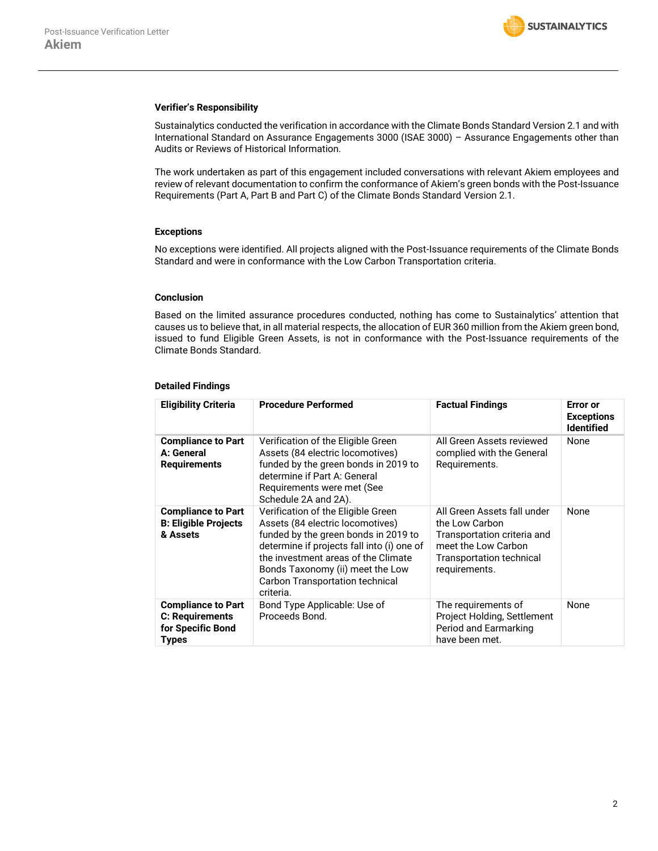#### **Verifier's Responsibility**

Sustainalytics conducted the verification in accordance with the Climate Bonds Standard Version 2.1 and with International Standard on Assurance Engagements 3000 (ISAE 3000) – Assurance Engagements other than Audits or Reviews of Historical Information.

The work undertaken as part of this engagement included conversations with relevant Akiem employees and review of relevant documentation to confirm the conformance of Akiem's green bonds with the Post-Issuance Requirements (Part A, Part B and Part C) of the Climate Bonds Standard Version 2.1.

#### **Exceptions**

No exceptions were identified. All projects aligned with the Post-Issuance requirements of the Climate Bonds Standard and were in conformance with the Low Carbon Transportation criteria.

#### **Conclusion**

Based on the limited assurance procedures conducted, nothing has come to Sustainalytics' attention that causes us to believe that, in all material respects, the allocation of EUR 360 million from the Akiem green bond, issued to fund Eligible Green Assets, is not in conformance with the Post-Issuance requirements of the Climate Bonds Standard.

### **Detailed Findings**

| <b>Eligibility Criteria</b>                                                | <b>Procedure Performed</b>                                                                                                                                                                                                                                                              | <b>Factual Findings</b>                                                                                                                                 | <b>Error</b> or<br><b>Exceptions</b><br><b>Identified</b> |
|----------------------------------------------------------------------------|-----------------------------------------------------------------------------------------------------------------------------------------------------------------------------------------------------------------------------------------------------------------------------------------|---------------------------------------------------------------------------------------------------------------------------------------------------------|-----------------------------------------------------------|
| <b>Compliance to Part</b><br>A: General<br><b>Requirements</b>             | Verification of the Eligible Green<br>Assets (84 electric locomotives)<br>funded by the green bonds in 2019 to<br>determine if Part A: General<br>Requirements were met (See<br>Schedule 2A and 2A).                                                                                    | All Green Assets reviewed<br>complied with the General<br>Requirements.                                                                                 | None                                                      |
| <b>Compliance to Part</b><br><b>B: Eligible Projects</b><br>& Assets       | Verification of the Eligible Green<br>Assets (84 electric locomotives)<br>funded by the green bonds in 2019 to<br>determine if projects fall into (i) one of<br>the investment areas of the Climate<br>Bonds Taxonomy (ii) meet the Low<br>Carbon Transportation technical<br>criteria. | All Green Assets fall under<br>the Low Carbon<br>Transportation criteria and<br>meet the Low Carbon<br><b>Transportation technical</b><br>requirements. | None                                                      |
| <b>Compliance to Part</b><br>C: Requirements<br>for Specific Bond<br>Types | Bond Type Applicable: Use of<br>Proceeds Bond.                                                                                                                                                                                                                                          | The requirements of<br>Project Holding, Settlement<br>Period and Earmarking<br>have been met.                                                           | None                                                      |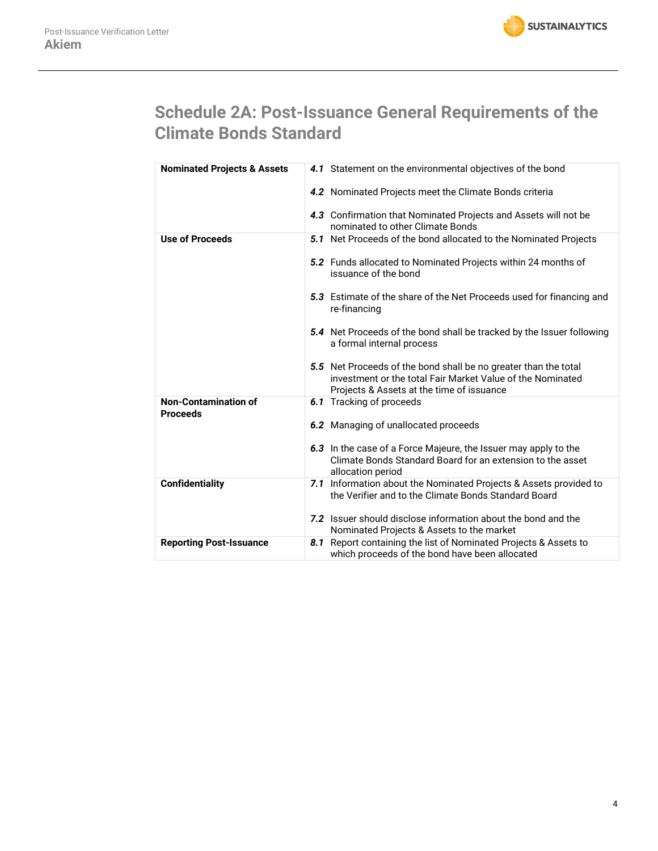

# **Schedule 2A: Post-Issuance General Requirements of the Climate Bonds Standard**

| <b>Nominated Projects &amp; Assets</b>         | 4.1 Statement on the environmental objectives of the bond                                                                                                                  |
|------------------------------------------------|----------------------------------------------------------------------------------------------------------------------------------------------------------------------------|
|                                                | 4.2 Nominated Projects meet the Climate Bonds criteria                                                                                                                     |
|                                                | 4.3 Confirmation that Nominated Projects and Assets will not be<br>nominated to other Climate Bonds                                                                        |
| <b>Use of Proceeds</b>                         | 5.1 Net Proceeds of the bond allocated to the Nominated Projects                                                                                                           |
|                                                | 5.2 Funds allocated to Nominated Projects within 24 months of<br>issuance of the bond                                                                                      |
|                                                | 5.3 Estimate of the share of the Net Proceeds used for financing and<br>re-financing                                                                                       |
|                                                | <b>5.4</b> Net Proceeds of the bond shall be tracked by the Issuer following<br>a formal internal process                                                                  |
|                                                | 5.5 Net Proceeds of the bond shall be no greater than the total<br>investment or the total Fair Market Value of the Nominated<br>Projects & Assets at the time of issuance |
| <b>Non-Contamination of</b><br><b>Proceeds</b> | 6.1 Tracking of proceeds                                                                                                                                                   |
|                                                | 6.2 Managing of unallocated proceeds                                                                                                                                       |
|                                                | 6.3 In the case of a Force Majeure, the Issuer may apply to the<br>Climate Bonds Standard Board for an extension to the asset<br>allocation period                         |
| <b>Confidentiality</b>                         | 7.1 Information about the Nominated Projects & Assets provided to<br>the Verifier and to the Climate Bonds Standard Board                                                  |
|                                                | 7.2 Issuer should disclose information about the bond and the<br>Nominated Projects & Assets to the market                                                                 |
| <b>Reporting Post-Issuance</b>                 | 8.1 Report containing the list of Nominated Projects & Assets to<br>which proceeds of the bond have been allocated                                                         |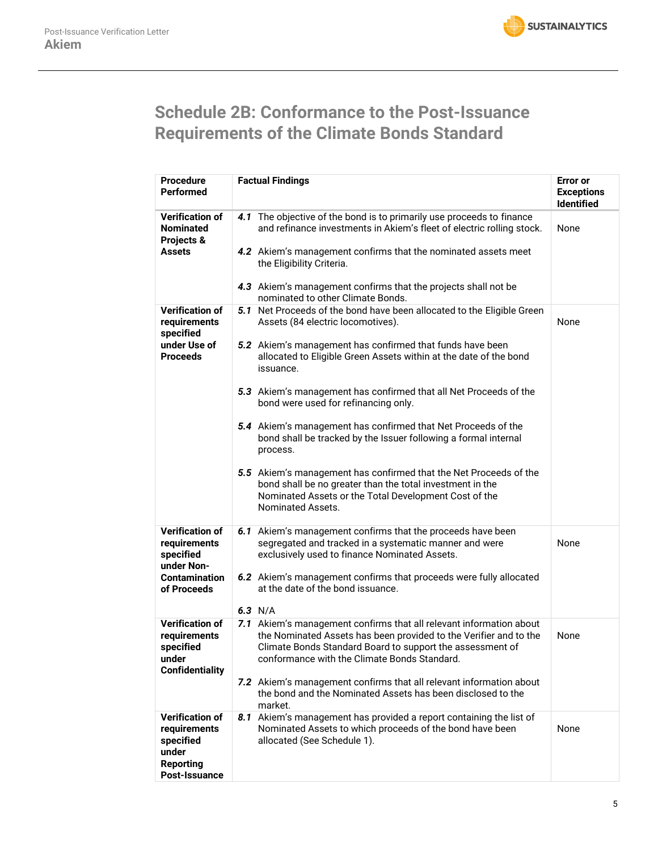

# **Schedule 2B: Conformance to the Post-Issuance Requirements of the Climate Bonds Standard**

| <b>Procedure</b><br><b>Performed</b>                                                                     | <b>Factual Findings</b>                                                                                                                                                                                                                                                                                                                                                                                                                                                                                                                                                                                                                                                                                                                 | <b>Error</b> or<br><b>Exceptions</b><br><b>Identified</b> |
|----------------------------------------------------------------------------------------------------------|-----------------------------------------------------------------------------------------------------------------------------------------------------------------------------------------------------------------------------------------------------------------------------------------------------------------------------------------------------------------------------------------------------------------------------------------------------------------------------------------------------------------------------------------------------------------------------------------------------------------------------------------------------------------------------------------------------------------------------------------|-----------------------------------------------------------|
| <b>Verification of</b><br><b>Nominated</b><br>Projects &<br>Assets                                       | The objective of the bond is to primarily use proceeds to finance<br>4.1<br>and refinance investments in Akiem's fleet of electric rolling stock.<br>4.2 Akiem's management confirms that the nominated assets meet<br>the Eligibility Criteria.<br>4.3 Akiem's management confirms that the projects shall not be<br>nominated to other Climate Bonds.                                                                                                                                                                                                                                                                                                                                                                                 | None                                                      |
| <b>Verification of</b><br>requirements<br>specified<br>under Use of<br><b>Proceeds</b>                   | 5.1 Net Proceeds of the bond have been allocated to the Eligible Green<br>Assets (84 electric locomotives).<br>5.2 Akiem's management has confirmed that funds have been<br>allocated to Eligible Green Assets within at the date of the bond<br>issuance.<br>5.3 Akiem's management has confirmed that all Net Proceeds of the<br>bond were used for refinancing only.<br>5.4 Akiem's management has confirmed that Net Proceeds of the<br>bond shall be tracked by the Issuer following a formal internal<br>process.<br>5.5 Akiem's management has confirmed that the Net Proceeds of the<br>bond shall be no greater than the total investment in the<br>Nominated Assets or the Total Development Cost of the<br>Nominated Assets. | None                                                      |
| <b>Verification of</b><br>requirements<br>specified<br>under Non-<br><b>Contamination</b><br>of Proceeds | 6.1 Akiem's management confirms that the proceeds have been<br>segregated and tracked in a systematic manner and were<br>exclusively used to finance Nominated Assets.<br>6.2 Akiem's management confirms that proceeds were fully allocated<br>at the date of the bond issuance.<br>6.3 $N/A$                                                                                                                                                                                                                                                                                                                                                                                                                                          | None                                                      |
| <b>Verification of</b><br>requirements<br>specified<br>under<br><b>Confidentiality</b>                   | 7.1 Akiem's management confirms that all relevant information about<br>the Nominated Assets has been provided to the Verifier and to the<br>Climate Bonds Standard Board to support the assessment of<br>conformance with the Climate Bonds Standard.<br>7.2 Akiem's management confirms that all relevant information about<br>the bond and the Nominated Assets has been disclosed to the<br>market.                                                                                                                                                                                                                                                                                                                                  | None                                                      |
| <b>Verification of</b><br>requirements<br>specified<br>under<br><b>Reporting</b><br>Post-Issuance        | 8.1 Akiem's management has provided a report containing the list of<br>Nominated Assets to which proceeds of the bond have been<br>allocated (See Schedule 1).                                                                                                                                                                                                                                                                                                                                                                                                                                                                                                                                                                          | None                                                      |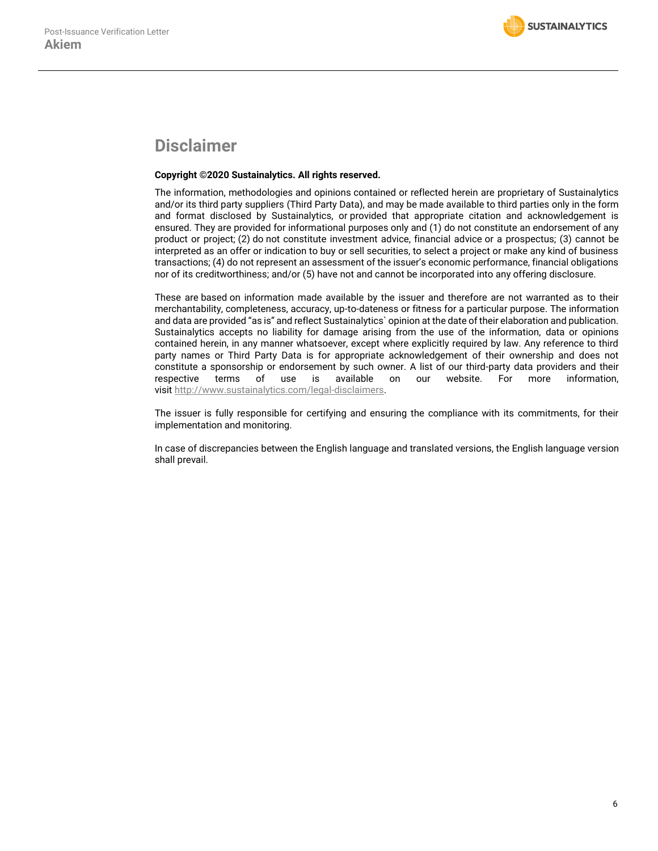## **Disclaimer**

## **Copyright ©2020 Sustainalytics. All rights reserved.**

The information, methodologies and opinions contained or reflected herein are proprietary of Sustainalytics and/or its third party suppliers (Third Party Data), and may be made available to third parties only in the form and format disclosed by Sustainalytics, or provided that appropriate citation and acknowledgement is ensured. They are provided for informational purposes only and (1) do not constitute an endorsement of any product or project; (2) do not constitute investment advice, financial advice or a prospectus; (3) cannot be interpreted as an offer or indication to buy or sell securities, to select a project or make any kind of business transactions; (4) do not represent an assessment of the issuer's economic performance, financial obligations nor of its creditworthiness; and/or (5) have not and cannot be incorporated into any offering disclosure.

These are based on information made available by the issuer and therefore are not warranted as to their merchantability, completeness, accuracy, up-to-dateness or fitness for a particular purpose. The information and data are provided "as is" and reflect Sustainalytics` opinion at the date of their elaboration and publication. Sustainalytics accepts no liability for damage arising from the use of the information, data or opinions contained herein, in any manner whatsoever, except where explicitly required by law. Any reference to third party names or Third Party Data is for appropriate acknowledgement of their ownership and does not constitute a sponsorship or endorsement by such owner. A list of our third-party data providers and their respective terms of use is available on our website. For more information, visit [http://www.sustainalytics.com/legal-disclaimers.](http://www.sustainalytics.com/legal-disclaimers)

The issuer is fully responsible for certifying and ensuring the compliance with its commitments, for their implementation and monitoring.

In case of discrepancies between the English language and translated versions, the English language version shall prevail.